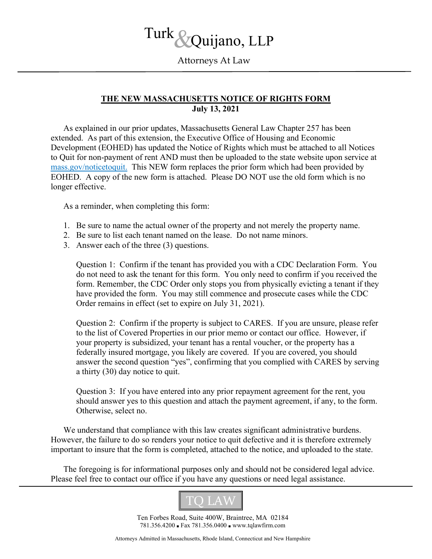# Turk c &Quijano, LLP

Attorneys At Law

# **THE NEW MASSACHUSETTS NOTICE OF RIGHTS FORM July 13, 2021**

As explained in our prior updates, Massachusetts General Law Chapter 257 has been extended. As part of this extension, the Executive Office of Housing and Economic Development (EOHED) has updated the Notice of Rights which must be attached to all Notices to Quit for non-payment of rent AND must then be uploaded to the state website upon service at [mass.gov/noticetoquit.](https://masslandlords.us3.list-manage.com/track/click?u=622b0ea10796da66e1a08c943&id=6b84bb4480&e=5a1f68c48b) This NEW form replaces the prior form which had been provided by EOHED. A copy of the new form is attached. Please DO NOT use the old form which is no longer effective.

As a reminder, when completing this form:

- 1. Be sure to name the actual owner of the property and not merely the property name.
- 2. Be sure to list each tenant named on the lease. Do not name minors.
- 3. Answer each of the three (3) questions.

Question 1: Confirm if the tenant has provided you with a CDC Declaration Form. You do not need to ask the tenant for this form. You only need to confirm if you received the form. Remember, the CDC Order only stops you from physically evicting a tenant if they have provided the form. You may still commence and prosecute cases while the CDC Order remains in effect (set to expire on July 31, 2021).

Question 2: Confirm if the property is subject to CARES. If you are unsure, please refer to the list of Covered Properties in our prior memo or contact our office. However, if your property is subsidized, your tenant has a rental voucher, or the property has a federally insured mortgage, you likely are covered. If you are covered, you should answer the second question "yes", confirming that you complied with CARES by serving a thirty (30) day notice to quit.

Question 3: If you have entered into any prior repayment agreement for the rent, you should answer yes to this question and attach the payment agreement, if any, to the form. Otherwise, select no.

We understand that compliance with this law creates significant administrative burdens. However, the failure to do so renders your notice to quit defective and it is therefore extremely important to insure that the form is completed, attached to the notice, and uploaded to the state.

The foregoing is for informational purposes only and should not be considered legal advice. Please feel free to contact our office if you have any questions or need legal assistance.



Ten Forbes Road, Suite 400W, Braintree, MA 02184 781.356.4200 ■ Fax 781.356.0400 ■ www.tqlawfirm.com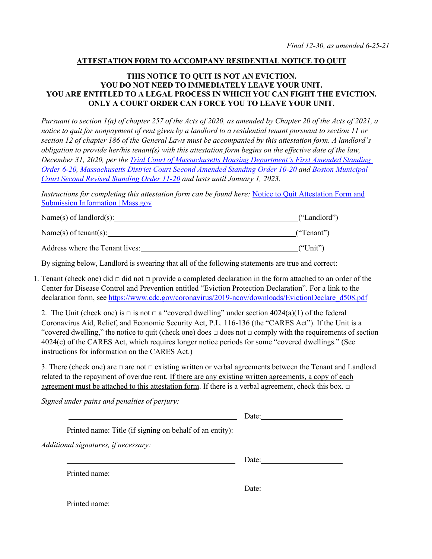#### **ATTESTATION FORM TO ACCOMPANY RESIDENTIAL NOTICE TO QUIT**

#### **THIS NOTICE TO QUIT IS NOT AN EVICTION. YOU DO NOT NEED TO IMMEDIATELY LEAVE YOUR UNIT. YOU ARE ENTITLED TO A LEGAL PROCESS IN WHICH YOU CAN FIGHT THE EVICTION. ONLY A COURT ORDER CAN FORCE YOU TO LEAVE YOUR UNIT.**

*Pursuant to section 1(a) of chapter 257 of the Acts of 2020, as amended by Chapter 20 of the Acts of 2021, a notice to quit for nonpayment of rent given by a landlord to a residential tenant pursuant to section 11 or section 12 of chapter 186 of the General Laws must be accompanied by this attestation form. A landlord's obligation to provide her/his tenant(s) with this attestation form begins on the effective date of the law, December 31, 2020, per the Trial Court of Massachusetts Housing Department's First Amended Standing Order 6-20, Massachusetts District Court Second Amended Standing Order 10-20 and Boston Municipal Court Second Revised Standing Order 11-20 and lasts until January 1, 2023.*

*Instructions for completing this attestation form can be found here: Notice to Quit Attestation Form and* Submission Information | Mass.gov

| Name(s) of landlord(s):         | ("Landlord") |
|---------------------------------|--------------|
| Name(s) of tenant(s):           | ("Tenant")   |
| Address where the Tenant lives: | ("Unit")     |

By signing below, Landlord is swearing that all of the following statements are true and correct:

1. Tenant (check one) did  $\Box$  did not  $\Box$  provide a completed declaration in the form attached to an order of the Center for Disease Control and Prevention entitled "Eviction Protection Declaration". For a link to the declaration form, see https://www.cdc.gov/coronavirus/2019-ncov/downloads/EvictionDeclare\_d508.pdf

2. The Unit (check one) is  $\Box$  is not  $\Box$  a "covered dwelling" under section 4024(a)(1) of the federal Coronavirus Aid, Relief, and Economic Security Act, P.L. 116-136 (the "CARES Act"). If the Unit is a "covered dwelling," the notice to quit (check one) does  $\Box$  does not  $\Box$  comply with the requirements of section 4024(c) of the CARES Act, which requires longer notice periods for some "covered dwellings." (See instructions for information on the CARES Act.)

3. There (check one) are  $\Box$  are not  $\Box$  existing written or verbal agreements between the Tenant and Landlord related to the repayment of overdue rent. If there are any existing written agreements, a copy of each agreement must be attached to this attestation form. If there is a verbal agreement, check this box.  $\Box$ 

*Signed under pains and penalties of perjury:*

|                                                          | Date: |
|----------------------------------------------------------|-------|
| Printed name: Title (if signing on behalf of an entity): |       |
| Additional signatures, if necessary:                     |       |
|                                                          | Date: |
| Printed name:                                            |       |
|                                                          | Date: |
| Printed name:                                            |       |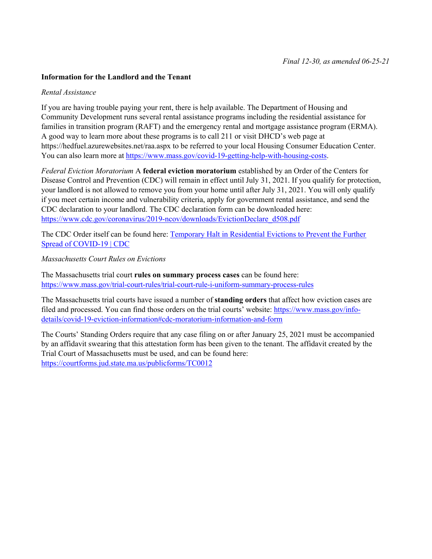#### **Information for the Landlord and the Tenant**

#### *Rental Assistance*

If you are having trouble paying your rent, there is help available. The Department of Housing and Community Development runs several rental assistance programs including the residential assistance for families in transition program (RAFT) and the emergency rental and mortgage assistance program (ERMA). A good way to learn more about these programs is to call 211 or visit DHCD's web page at https://hedfuel.azurewebsites.net/raa.aspx to be referred to your local Housing Consumer Education Center. You can also learn more at https://www.mass.gov/covid-19-getting-help-with-housing-costs.

*Federal Eviction Moratorium* A **federal eviction moratorium** established by an Order of the Centers for Disease Control and Prevention (CDC) will remain in effect until July 31, 2021. If you qualify for protection, your landlord is not allowed to remove you from your home until after July 31, 2021. You will only qualify if you meet certain income and vulnerability criteria, apply for government rental assistance, and send the CDC declaration to your landlord. The CDC declaration form can be downloaded here: https://www.cdc.gov/coronavirus/2019-ncov/downloads/EvictionDeclare\_d508.pdf

The CDC Order itself can be found here: Temporary Halt in Residential Evictions to Prevent the Further Spread of COVID-19 | CDC

*Massachusetts Court Rules on Evictions*

The Massachusetts trial court **rules on summary process cases** can be found here: https://www.mass.gov/trial-court-rules/trial-court-rule-i-uniform-summary-process-rules

The Massachusetts trial courts have issued a number of **standing orders** that affect how eviction cases are filed and processed. You can find those orders on the trial courts' website: https://www.mass.gov/infodetails/covid-19-eviction-information#cdc-moratorium-information-and-form

The Courts' Standing Orders require that any case filing on or after January 25, 2021 must be accompanied by an affidavit swearing that this attestation form has been given to the tenant. The affidavit created by the Trial Court of Massachusetts must be used, and can be found here: https://courtforms.jud.state.ma.us/publicforms/TC0012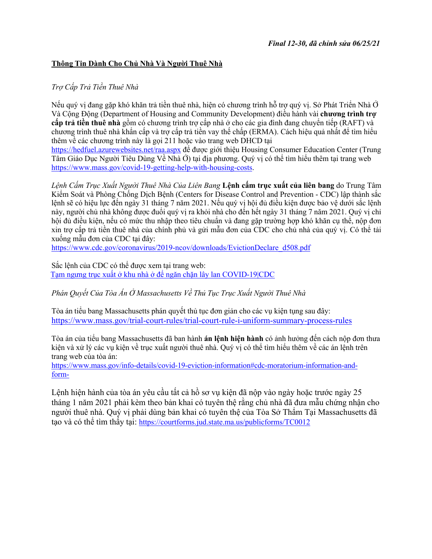# **Thông Tin Dành Cho Chủ Nhà Và Người Thuê Nhà**

# *Trợ Cấp Trả Tiền Thuê Nhà*

Nếu quý vị đang gặp khó khăn trả tiền thuê nhà, hiện có chương trình hỗ trợ quý vị. Sở Phát Triển Nhà Ở Và Cộng Động (Department of Housing and Community Development) điều hành vài **chương trình trợ cấp trả tiền thuê nhà** gồm có chương trình trợ cấp nhà ở cho các gia đình đang chuyển tiếp (RAFT) và chương trình thuê nhà khẩn cấp và trợ cấp trả tiền vay thế chấp (ERMA). Cách hiệu quả nhất để tìm hiểu thêm về các chương trình này là gọi 211 hoặc vào trang web DHCD tại https://hedfuel.azurewebsites.net/raa.aspx để được giới thiệu Housing Consumer Education Center (Trung Tâm Giáo Dục Người Tiêu Dùng Về Nhà Ở) tại địa phương. Quý vị có thể tìm hiểu thêm tại trang web https://www.mass.gov/covid-19-getting-help-with-housing-costs.

*Lệnh Cấm Trục Xuất Người Thuê Nhà Của Liên Bang* **Lệnh cấm trục xuất của liên bang** do Trung Tâm Kiểm Soát và Phòng Chống Dịch Bệnh (Centers for Disease Control and Prevention - CDC) lập thành sắc lệnh sẽ có hiệu lực đến ngày 31 tháng 7 năm 2021. Nếu quý vị hội đủ điều kiện được bảo vệ dưới sắc lệnh này, người chủ nhà không được đuổi quý vị ra khỏi nhà cho đến hết ngày 31 tháng 7 năm 2021. Quý vị chỉ hội đủ điều kiện, nếu có mức thu nhập theo tiêu chuẩn và đang gặp trường hợp khó khăn cụ thể, nộp đơn xin trợ cấp trả tiền thuê nhà của chính phủ và gửi mẫu đơn của CDC cho chủ nhà của quý vị. Có thể tải xuống mẫu đơn của CDC tại đây:

https://www.cdc.gov/coronavirus/2019-ncov/downloads/EvictionDeclare\_d508.pdf

Sắc lệnh của CDC có thể được xem tại trang web: Tạm ngưng trục xuất ở khu nhà ở để ngăn chặn lây lan COVID-19|CDC

*Phán Quyết Của Tòa Án Ở Massachusetts Về Thủ Tục Trục Xuất Người Thuê Nhà*

Tòa án tiểu bang Massachusetts phán quyết thủ tục đơn giản cho các vụ kiện tụng sau đây: https://www.mass.gov/trial-court-rules/trial-court-rule-i-uniform-summary-process-rules

Tòa án của tiểu bang Massachusetts đã ban hành **án lệnh hiện hành** có ảnh hưởng đến cách nộp đơn thưa kiện và xử lý các vụ kiện về trục xuất người thuê nhà. Quý vị có thể tìm hiểu thêm về các án lệnh trên trang web của tòa án:

https://www.mass.gov/info-details/covid-19-eviction-information#cdc-moratorium-information-andform-

Lệnh hiện hành của tòa án yêu cầu tất cả hồ sơ vụ kiện đã nộp vào ngày hoặc trước ngày 25 tháng 1 năm 2021 phải kèm theo bản khai có tuyên thệ rằng chủ nhà đã đưa mẫu chứng nhận cho người thuê nhà. Quý vị phải dùng bản khai có tuyên thệ của Tòa Sở Thẩm Tại Massachusetts đã tạo và có thể tìm thấy tại: https://courtforms.jud.state.ma.us/publicforms/TC0012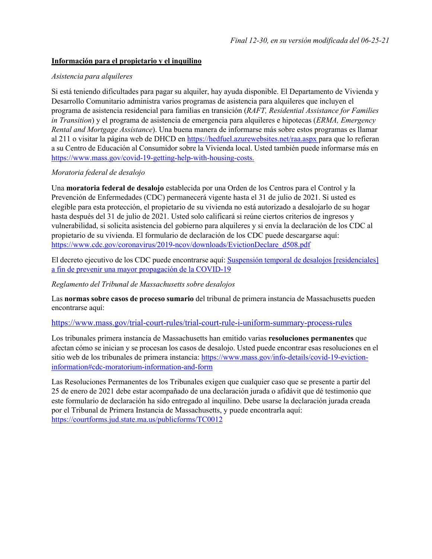#### **Información para el propietario y el inquilino**

#### *Asistencia para alquileres*

Si está teniendo dificultades para pagar su alquiler, hay ayuda disponible. El Departamento de Vivienda y Desarrollo Comunitario administra varios programas de asistencia para alquileres que incluyen el programa de asistencia residencial para familias en transición (*RAFT, Residential Assistance for Families in Transition*) y el programa de asistencia de emergencia para alquileres e hipotecas (*ERMA, Emergency Rental and Mortgage Assistance*). Una buena manera de informarse más sobre estos programas es llamar al 211 o visitar la página web de DHCD en https://hedfuel.azurewebsites.net/raa.aspx para que lo refieran a su Centro de Educación al Consumidor sobre la Vivienda local. Usted también puede informarse más en https://www.mass.gov/covid-19-getting-help-with-housing-costs.

# *Moratoria federal de desalojo*

Una **moratoria federal de desalojo** establecida por una Orden de los Centros para el Control y la Prevención de Enfermedades (CDC) permanecerá vigente hasta el 31 de julio de 2021. Si usted es elegible para esta protección, el propietario de su vivienda no está autorizado a desalojarlo de su hogar hasta después del 31 de julio de 2021. Usted solo calificará si reúne ciertos criterios de ingresos y vulnerabilidad, si solicita asistencia del gobierno para alquileres y si envía la declaración de los CDC al propietario de su vivienda. El formulario de declaración de los CDC puede descargarse aquí: https://www.cdc.gov/coronavirus/2019-ncov/downloads/EvictionDeclare\_d508.pdf

El decreto ejecutivo de los CDC puede encontrarse aquí: Suspensión temporal de desalojos [residenciales] a fin de prevenir una mayor propagación de la COVID-19

#### *Reglamento del Tribunal de Massachusetts sobre desalojos*

Las **normas sobre casos de proceso sumario** del tribunal de primera instancia de Massachusetts pueden encontrarse aquí:

#### https://www.mass.gov/trial-court-rules/trial-court-rule-i-uniform-summary-process-rules

Los tribunales primera instancia de Massachusetts han emitido varias **resoluciones permanentes** que afectan cómo se inician y se procesan los casos de desalojo. Usted puede encontrar esas resoluciones en el sitio web de los tribunales de primera instancia: https://www.mass.gov/info-details/covid-19-evictioninformation#cdc-moratorium-information-and-form

Las Resoluciones Permanentes de los Tribunales exigen que cualquier caso que se presente a partir del 25 de enero de 2021 debe estar acompañado de una declaración jurada o afidávit que dé testimonio que este formulario de declaración ha sido entregado al inquilino. Debe usarse la declaración jurada creada por el Tribunal de Primera Instancia de Massachusetts, y puede encontrarla aquí: https://courtforms.jud.state.ma.us/publicforms/TC0012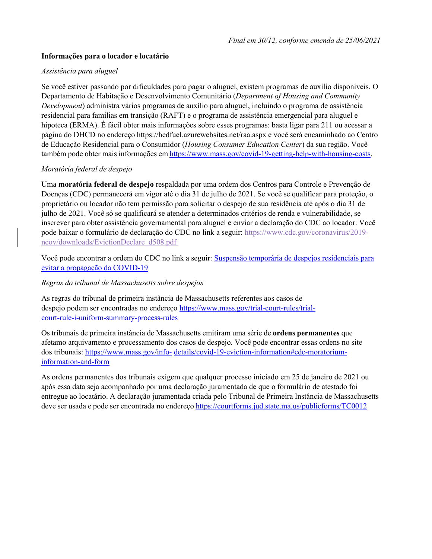# **Informações para o locador e locatário**

# *Assistência para aluguel*

Se você estiver passando por dificuldades para pagar o aluguel, existem programas de auxílio disponíveis. O Departamento de Habitação e Desenvolvimento Comunitário (*Department of Housing and Community Development*) administra vários programas de auxílio para aluguel, incluindo o programa de assistência residencial para famílias em transição (RAFT) e o programa de assistência emergencial para aluguel e hipoteca (ERMA). É fácil obter mais informações sobre esses programas: basta ligar para 211 ou acessar a página do DHCD no endereço https://hedfuel.azurewebsites.net/raa.aspx e você será encaminhado ao Centro de Educação Residencial para o Consumidor (*Housing Consumer Education Center*) da sua região. Você também pode obter mais informações em https://www.mass.gov/covid-19-getting-help-with-housing-costs.

# *Moratória federal de despejo*

Uma **moratória federal de despejo** respaldada por uma ordem dos Centros para Controle e Prevenção de Doenças (CDC) permanecerá em vigor até o dia 31 de julho de 2021. Se você se qualificar para proteção, o proprietário ou locador não tem permissão para solicitar o despejo de sua residência até após o dia 31 de julho de 2021. Você só se qualificará se atender a determinados critérios de renda e vulnerabilidade, se inscrever para obter assistência governamental para aluguel e enviar a declaração do CDC ao locador. Você pode baixar o formulário de declaração do CDC no link a seguir: https://www.cdc.gov/coronavirus/2019 ncov/downloads/EvictionDeclare\_d508.pdf

Você pode encontrar a ordem do CDC no link a seguir: Suspensão temporária de despejos residenciais para evitar a propagação da COVID-19

#### *Regras do tribunal de Massachusetts sobre despejos*

As regras do tribunal de primeira instância de Massachusetts referentes aos casos de despejo podem ser encontradas no endereço https://www.mass.gov/trial-court-rules/trialcourt-rule-i-uniform-summary-process-rules

Os tribunais de primeira instância de Massachusetts emitiram uma série de **ordens permanentes** que afetamo arquivamento e processamento dos casos de despejo. Você pode encontrar essas ordens no site dos tribunais: https://www.mass.gov/info- details/covid-19-eviction-information#cdc-moratoriuminformation-and-form

As ordens permanentes dos tribunais exigem que qualquer processo iniciado em 25 de janeiro de 2021 ou após essa data seja acompanhado por uma declaração juramentada de que o formulário de atestado foi entregue ao locatário. A declaração juramentada criada pelo Tribunal de Primeira Instância de Massachusetts deve ser usada e pode ser encontrada no endereço https://courtforms.jud.state.ma.us/publicforms/TC0012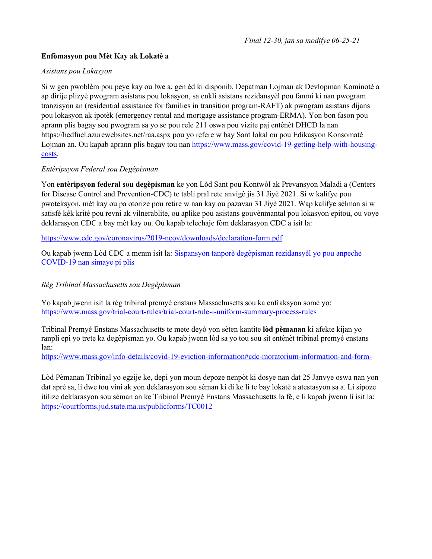# **Enfòmasyon pou Mèt Kay ak Lokatè a**

# *Asistans pou Lokasyon*

Si w gen pwoblèm pou peye kay ou lwe a, gen èd ki disponib. Depatman Lojman ak Devlopman Kominotè a ap dirije plizyè pwogram asistans pou lokasyon, sa enkli asistans rezidansyèl pou fanmi ki nan pwogram tranzisyon an (residential assistance for families in transition program-RAFT) ak pwogram asistans dijans pou lokasyon ak ipotèk (emergency rental and mortgage assistance program-ERMA). Yon bon fason pou aprann plis bagay sou pwogram sa yo se pou rele 211 oswa pou vizite paj entènèt DHCD la nan https://hedfuel.azurewebsites.net/raa.aspx pou yo refere w bay Sant lokal ou pou Edikasyon Konsomatè Lojman an. Ou kapab aprann plis bagay tou nan https://www.mass.gov/covid-19-getting-help-with-housingcosts.

# *Entèripsyon Federal sou Degèpisman*

Yon **entèripsyon federal sou degèpisman** ke yon Lòd Sant pou Kontwòl ak Prevansyon Maladi a (Centers for Disease Control and Prevention-CDC) te tabli pral rete anvigè jis 31 Jiyè 2021. Si w kalifye pou pwoteksyon, mèt kay ou pa otorize pou retire w nan kay ou pazavan 31 Jiyè 2021. Wap kalifye sèlman si w satisfè kèk kritè pou revni ak vilnerablite, ou aplike pou asistans gouvènmantal pou lokasyon epitou, ou voye deklarasyon CDC a bay mèt kay ou. Ou kapab telechaje fòm deklarasyon CDC a isit la:

https://www.cdc.gov/coronavirus/2019-ncov/downloads/declaration-form.pdf

Ou kapab jwenn Lòd CDC a menm isit la: Sispansyon tanporè degèpisman rezidansyèl yo pou anpeche COVID-19 nan simaye pi plis

*Règ Tribinal Massachusetts sou Degèpisman*

Yo kapab jwenn isit la règ tribinal premyè enstans Massachusetts sou ka enfraksyon somè yo: https://www.mass.gov/trial-court-rules/trial-court-rule-i-uniform-summary-process-rules

Tribinal Premyè Enstans Massachusetts te mete deyò yon sèten kantite **lòd pèmanan** ki afekte kijan yo ranpli epi yo trete ka degèpisman yo. Ou kapab jwenn lòd sa yo tou sou sit entènèt tribinal premyè enstans lan:

https://www.mass.gov/info-details/covid-19-eviction-information#cdc-moratorium-information-and-form-

Lòd Pèmanan Tribinal yo egzije ke, depi yon moun depoze nenpòt ki dosye nan dat 25 Janvye oswa nan yon dat aprè sa, li dwe tou vini ak yon deklarasyon sou sèman ki di ke li te bay lokatè a atestasyon sa a. Li sipoze itilize deklarasyon sou sèman an ke Tribinal Premyè Enstans Massachusetts la fè, e li kapab jwenn li isit la: https://courtforms.jud.state.ma.us/publicforms/TC0012